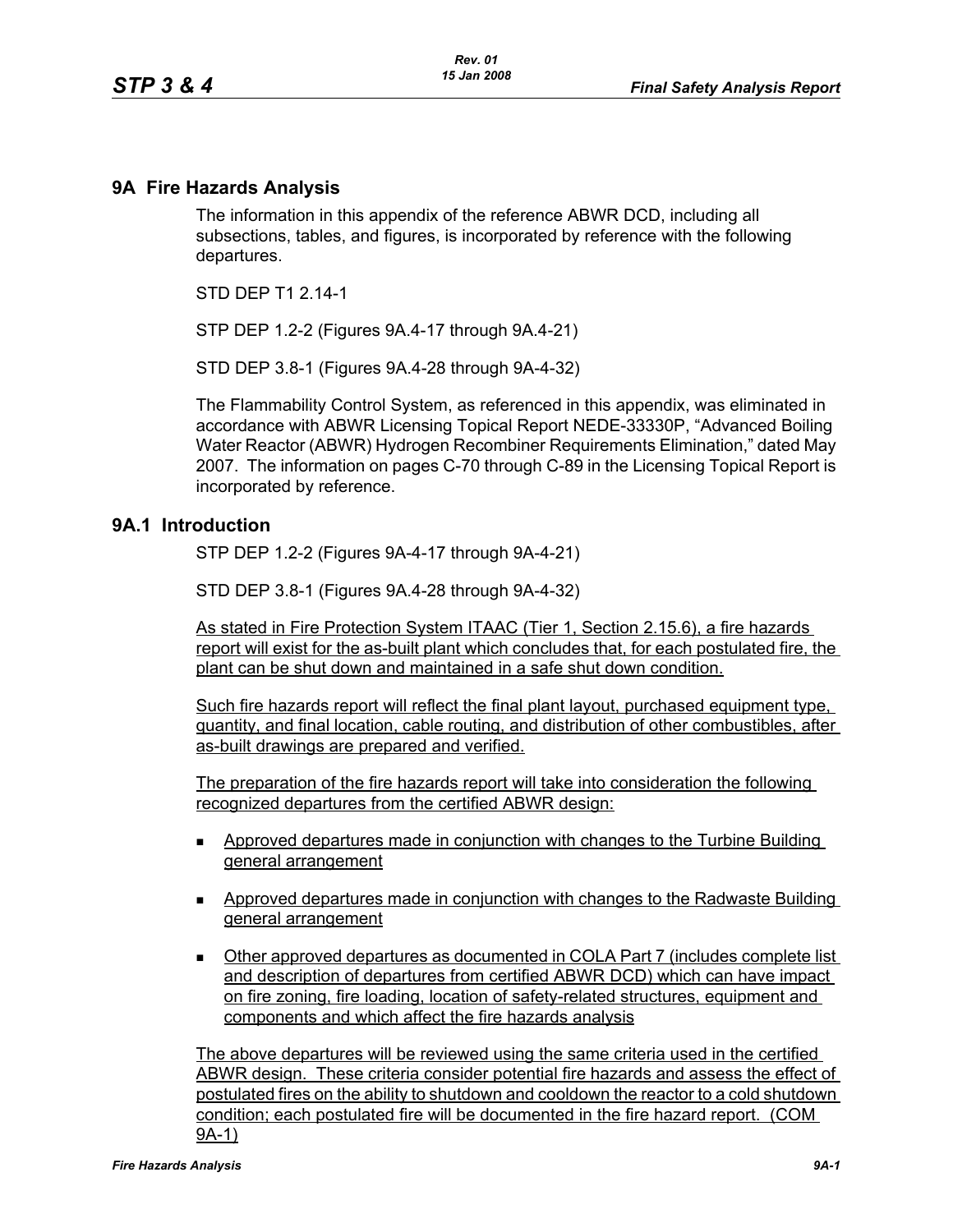## **9A Fire Hazards Analysis**

The information in this appendix of the reference ABWR DCD, including all subsections, tables, and figures, is incorporated by reference with the following departures.

STD DFP T1 2 14-1

STP DEP 1.2-2 (Figures 9A.4-17 through 9A.4-21)

STD DEP 3.8-1 (Figures 9A.4-28 through 9A-4-32)

The Flammability Control System, as referenced in this appendix, was eliminated in accordance with ABWR Licensing Topical Report NEDE-33330P, "Advanced Boiling Water Reactor (ABWR) Hydrogen Recombiner Requirements Elimination," dated May 2007. The information on pages C-70 through C-89 in the Licensing Topical Report is incorporated by reference.

## **9A.1 Introduction**

STP DEP 1.2-2 (Figures 9A-4-17 through 9A-4-21)

STD DEP 3.8-1 (Figures 9A.4-28 through 9A-4-32)

As stated in Fire Protection System ITAAC (Tier 1, Section 2.15.6), a fire hazards report will exist for the as-built plant which concludes that, for each postulated fire, the plant can be shut down and maintained in a safe shut down condition.

Such fire hazards report will reflect the final plant layout, purchased equipment type, quantity, and final location, cable routing, and distribution of other combustibles, after as-built drawings are prepared and verified.

The preparation of the fire hazards report will take into consideration the following recognized departures from the certified ABWR design:

- Approved departures made in conjunction with changes to the Turbine Building general arrangement
- Approved departures made in conjunction with changes to the Radwaste Building general arrangement
- Other approved departures as documented in COLA Part 7 (includes complete list and description of departures from certified ABWR DCD) which can have impact on fire zoning, fire loading, location of safety-related structures, equipment and components and which affect the fire hazards analysis

The above departures will be reviewed using the same criteria used in the certified ABWR design. These criteria consider potential fire hazards and assess the effect of postulated fires on the ability to shutdown and cooldown the reactor to a cold shutdown condition; each postulated fire will be documented in the fire hazard report. (COM 9A-1)